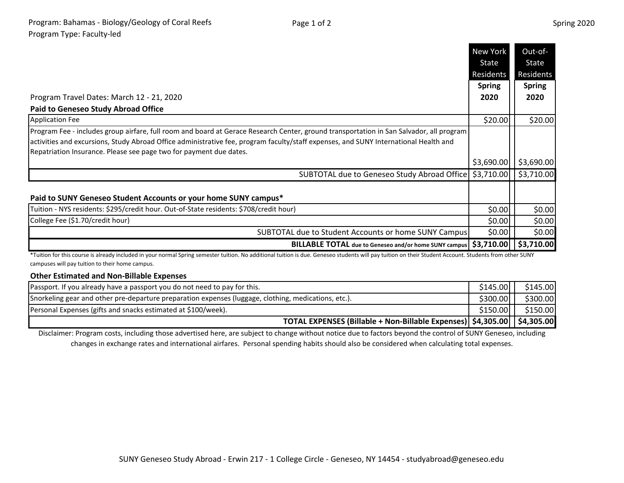- -

|                                                                                                                                                                                                                                                                                                                                                       | New York      | Out-of-                  |
|-------------------------------------------------------------------------------------------------------------------------------------------------------------------------------------------------------------------------------------------------------------------------------------------------------------------------------------------------------|---------------|--------------------------|
|                                                                                                                                                                                                                                                                                                                                                       | State         | State                    |
|                                                                                                                                                                                                                                                                                                                                                       | Residents     | Residents                |
|                                                                                                                                                                                                                                                                                                                                                       | <b>Spring</b> | <b>Spring</b>            |
| Program Travel Dates: March 12 - 21, 2020                                                                                                                                                                                                                                                                                                             | 2020          | 2020                     |
| <b>Paid to Geneseo Study Abroad Office</b>                                                                                                                                                                                                                                                                                                            |               |                          |
| <b>Application Fee</b>                                                                                                                                                                                                                                                                                                                                | \$20.00       | \$20.00                  |
| Program Fee - includes group airfare, full room and board at Gerace Research Center, ground transportation in San Salvador, all program<br>activities and excursions, Study Abroad Office administrative fee, program faculty/staff expenses, and SUNY International Health and<br>Repatriation Insurance. Please see page two for payment due dates. |               |                          |
|                                                                                                                                                                                                                                                                                                                                                       | \$3,690.00    | $\frac{1}{2}$ \$3,690.00 |
| SUBTOTAL due to Geneseo Study Abroad Office                                                                                                                                                                                                                                                                                                           |               | $$3,710.00$ $$3,710.00$  |
| Paid to SUNY Geneseo Student Accounts or your home SUNY campus*                                                                                                                                                                                                                                                                                       |               |                          |
| Tuition - NYS residents: \$295/credit hour. Out-of-State residents: \$708/credit hour)                                                                                                                                                                                                                                                                | \$0.00        | \$0.00                   |
| College Fee (\$1.70/credit hour)                                                                                                                                                                                                                                                                                                                      | \$0.00        | \$0.00                   |
| SUBTOTAL due to Student Accounts or home SUNY Campus                                                                                                                                                                                                                                                                                                  | \$0.00        | \$0.00                   |
| BILLABLE TOTAL due to Geneseo and/or home SUNY campus   \$3,710.00                                                                                                                                                                                                                                                                                    |               | \$3,710.00               |

\*Tuition for this course is already included in your normal Spring semester tuition. No additional tuition is due. Geneseo students will pay tuition on their Student Account. Students from other SUNY campuses will pay tuition to their home campus.

## **Other Estimated and Non-Billable Expenses**

| Passport. If you already have a passport you do not need to pay for this.                            | \$145.00 | \$145.00 |
|------------------------------------------------------------------------------------------------------|----------|----------|
| Snorkeling gear and other pre-departure preparation expenses (luggage, clothing, medications, etc.). | \$300.00 | \$300.00 |
| Personal Expenses (gifts and snacks estimated at \$100/week).                                        | \$150.00 | \$150.00 |
| TOTAL EXPENSES (Billable + Non-Billable Expenses)   \$4,305.00     \$4,305.00                        |          |          |

Disclaimer: Program costs, including those advertised here, are subject to change without notice due to factors beyond the control of SUNY Geneseo, including changes in exchange rates and international airfares. Personal spending habits should also be considered when calculating total expenses.